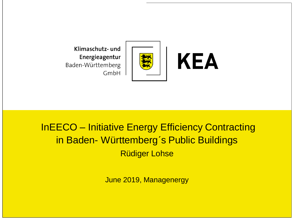

**KEA** 

Klimaschutz- und Energieagentur Baden-Württemberg GmbH

# InEECO – Initiative Energy Efficiency Contracting in Baden- Württemberg´s Public Buildings Rüdiger Lohse

June 2019, Managenergy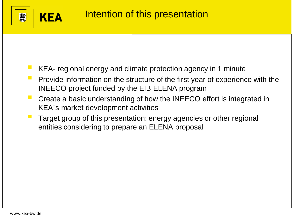

- KEA- regional energy and climate protection agency in 1 minute
- Provide information on the structure of the first year of experience with the INEECO project funded by the EIB ELENA program
- Create a basic understanding of how the INEECO effort is integrated in KEA´s market development activities
- Target group of this presentation: energy agencies or other regional entities considering to prepare an ELENA proposal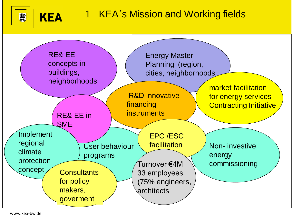

**KEA** 



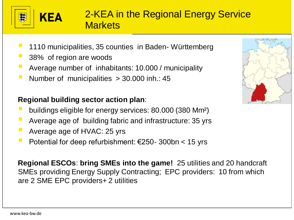

# 2-KEA in the Regional Energy Service **Markets**

- 1110 municipalities, 35 counties in Baden- Württemberg
- 38% of region are woods

**KEA** 

- Average number of inhabitants: 10.000 / municipality
- Number of municipalities  $> 30.000$  inh.: 45

#### **Regional building sector action plan**:

- buildings eligible for energy services: 80.000 (380 Mm<sup>2</sup>)
- Average age of building fabric and infrastructure: 35 yrs
- Average age of HVAC: 25 yrs
- Potential for deep refurbishment:  $€250 300$ bn < 15 yrs

**Regional ESCOs**: **bring SMEs into the game!** 25 utilities and 20 handcraft SMEs providing Energy Supply Contracting; EPC providers: 10 from which are 2 SME EPC providers+ 2 utilities

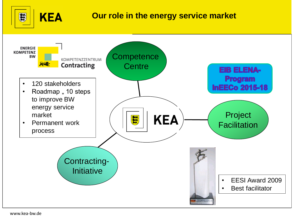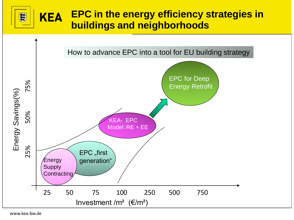#### **EPC in the energy efficiency strategies in KEA** 鐵 **buildings and neighborhoods**

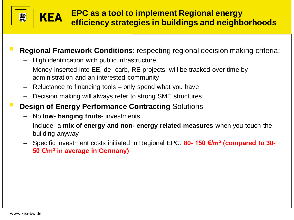

#### **Regional Framework Conditions**: respecting regional decision making criteria:

- High identification with public infrastructure
- Money inserted into EE, de- carb, RE projects will be tracked over time by administration and an interested community
- Reluctance to financing tools only spend what you have
- Decision making will always refer to strong SME structures
- **Design of Energy Performance Contracting Solutions** 
	- No **low- hanging fruits-** investments
	- Include a **mix of energy and non- energy related measures** when you touch the building anyway
	- Specific investment costs initiated in Regional EPC: **80- 150 €/m² (compared to 30- 50 €/m² in average in Germany)**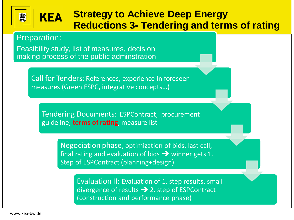#### **Strategy to Achieve Deep Energy KEA Reductions 3- Tendering and terms of rating**

Preparation:

Feasibility study, list of measures, decision making process of the public adminstration

> Call for Tenders: References, experience in foreseen measures (Green ESPC, integrative concepts…)

Tendering Documents: ESPContract, procurement guideline, **terms of rating**, measure list

> Negociation phase, optimization of bids, last call, final rating and evaluation of bids  $\rightarrow$  winner gets 1. Step of ESPContract (planning+design)

> > Evaluation II: Evaluation of 1. step results, small divergence of results  $\rightarrow$  2. step of ESPContract (construction and performance phase)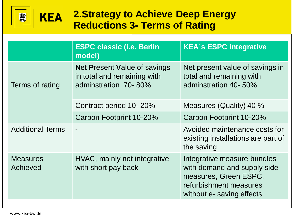

# **2.Strategy to Achieve Deep Energy Reductions 3- Terms of Rating**

|                             | <b>ESPC classic (i.e. Berlin</b><br>model)                                                 | <b>KEA's ESPC integrative</b>                                                                                                              |  |
|-----------------------------|--------------------------------------------------------------------------------------------|--------------------------------------------------------------------------------------------------------------------------------------------|--|
| Terms of rating             | <b>Net Present Value of savings</b><br>in total and remaining with<br>adminstration 70-80% | Net present value of savings in<br>total and remaining with<br>adminstration 40-50%                                                        |  |
|                             | Contract period 10-20%                                                                     | Measures (Quality) 40 %                                                                                                                    |  |
|                             | Carbon Footprint 10-20%                                                                    | Carbon Footprint 10-20%                                                                                                                    |  |
| <b>Additional Terms</b>     |                                                                                            | Avoided maintenance costs for<br>existing installations are part of<br>the saving                                                          |  |
| <b>Measures</b><br>Achieved | HVAC, mainly not integrative<br>with short pay back                                        | Integrative measure bundles<br>with demand and supply side<br>measures, Green ESPC,<br>refurbishment measures<br>without e- saving effects |  |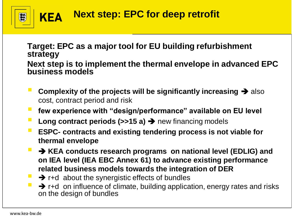

**Target: EPC as a major tool for EU building refurbishment strategy Next step is to implement the thermal envelope in advanced EPC business models**

- **Complexity of the projects will be significantly increasing** ➔ also cost, contract period and risk
- **few experience with "design/performance" available on EU level**
- **Long contract periods (>>15 a) → new financing models**
- **ESPC-** contracts and existing tendering process is not viable for **thermal envelope**
- **→ KEA conducts research programs on national level (EDLIG) and on IEA level (IEA EBC Annex 61) to advance existing performance related business models towards the integration of DER**
- $\rightarrow$  r+d about the synergistic effects of bundles
- → r+d on influence of climate, building application, energy rates and risks on the design of bundles

蠶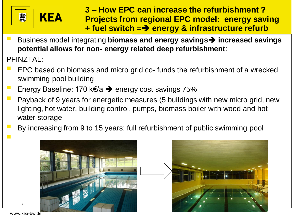

**KEA** 

▪ Business model integrating **biomass and energy savings**➔ **increased savings potential allows for non- energy related deep refurbishment**:

PFINZTAL:

- EPC based on biomass and micro grid co- funds the refurbishment of a wrecked swimming pool building
- Energy Baseline: 170 k€/a → energy cost savings 75%
- **Payback of 9 years for energetic measures (5 buildings with new micro grid, new** lighting, hot water, building control, pumps, biomass boiler with wood and hot water storage
- By increasing from 9 to 15 years: full refurbishment of public swimming pool ▪



www.kea-bw.de

,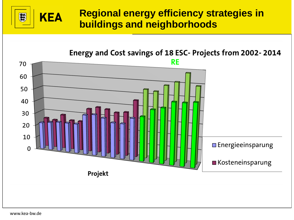#### **Regional energy efficiency strategies in KEA buildings and neighborhoods**

Energy and Cost savings of 18 ESC- Projects from 2002-2014 **RE** 70 60 50 40 30 20 10  $\Box$  Energieeinsparung  $\Omega$ **■ Kosteneinsparung** Projekt

www.kea-bw.de

蠶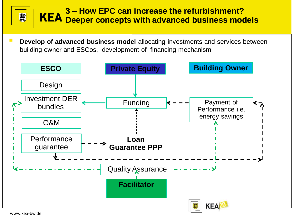## **3 – How EPC can increase the refurbishment? Deeper concepts with advanced business models**

**Develop of advanced business model** allocating investments and services between building owner and ESCos, development of financing mechanism



www.kea-bw.de

纂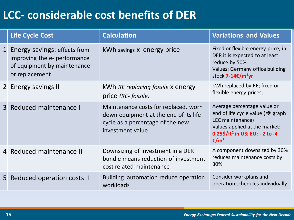# **LCC- considerable cost benefits of DER**

|              | <b>Life Cycle Cost</b>                                                                                        | <b>Calculation</b>                                                                                                                    | <b>Variations and Values</b>                                                                                                                                                                           |
|--------------|---------------------------------------------------------------------------------------------------------------|---------------------------------------------------------------------------------------------------------------------------------------|--------------------------------------------------------------------------------------------------------------------------------------------------------------------------------------------------------|
| $\mathbf{1}$ | Energy savings: effects from<br>improving the e- performance<br>of equipment by maintenance<br>or replacement | kWh savings x energy price                                                                                                            | Fixed or flexible energy price; in<br>DER it is expected to at least<br>reduce by 50%<br>Values: Germany office building<br>stock 7-14€/m <sup>2</sup> yr                                              |
|              | 2 Energy savings II                                                                                           | kWh RE replacing fossile x energy<br>price (RE- fossile)                                                                              | kWh replaced by RE; fixed or<br>flexible energy prices;                                                                                                                                                |
|              | 3 Reduced maintenance I                                                                                       | Maintenance costs for replaced, worn<br>down equipment at the end of its life<br>cycle as a percentage of the new<br>investment value | Average percentage value or<br>end of life cycle value ( $\rightarrow$ graph<br>LCC maintenance)<br>Values applied at the market: -<br>0,25\$/ft <sup>2</sup> in US; EU: - 2 to -4<br>€/m <sup>2</sup> |
|              | 4 Reduced maintenance II                                                                                      | Downsizing of investment in a DER<br>bundle means reduction of investment<br>cost related maintenance                                 | A component downsized by 30%<br>reduces maintenance costs by<br>30%                                                                                                                                    |
| 5            | Reduced operation costs I                                                                                     | Building automation reduce operation<br>workloads                                                                                     | Consider workplans and<br>operation schedules individually                                                                                                                                             |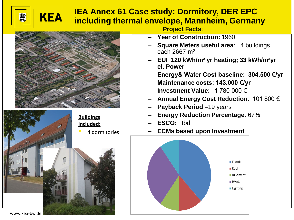#### **IEA Annex 61 Case study: Dormitory, DER EPC including thermal envelope, Mannheim, Germany**



**KEA** 



**Project Facts**:

- **Year of Construction:** 1960
- **Square Meters useful area**: 4 buildings each 2667 m<sup>2</sup>
- **EUI 120 kWh/m² yr heating; 33 kWh/m²yr el. Power**
- **Energy& Water Cost baseline: 304.500 €/yr**
- **Maintenance costs: 143.000 €/yr**
- **Investment Value**: 1 780 000 €
- **Annual Energy Cost Reduction**: 101 800 €
- **Payback Period** –19 years
- **Energy Reduction Percentage**: 67%
- **ESCO:** tbd
- **ECMs based upon Investment**

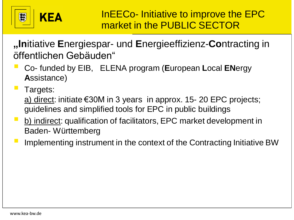

**"In**itiative **E**nergiespar- und **E**nergieeffizienz-**Co**ntracting in öffentlichen Gebäuden"

- Co- funded by EIB, ELENA program (**E**uropean **L**ocal **EN**ergy **A**ssistance)
- Targets: a) direct: initiate €30M in 3 years in approx. 15- 20 EPC projects; guidelines and simplified tools for EPC in public buildings
- b) indirect: qualification of facilitators, EPC market development in Baden- Württemberg
- Implementing instrument in the context of the Contracting Initiative BW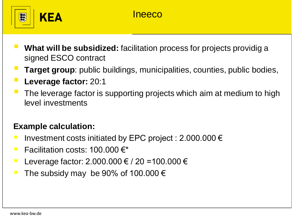

- **What will be subsidized:** facilitation process for projects providig a signed ESCO contract
- **Target group**: public buildings, municipalities, counties, public bodies,
- **Leverage factor:** 20:1
- The leverage factor is supporting projects which aim at medium to high level investments

#### **Example calculation:**

- Investment costs initiated by EPC project :  $2.000.000 \in$
- **Fig. 5** Facilitation costs:  $100.000 \in x$
- **■** Leverage factor: 2.000.000 € / 20 = 100.000 €
- The subsidy may be 90% of 100.000  $\epsilon$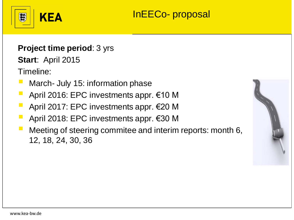

# InEECo- proposal

### **Project time period**: 3 yrs

**Start**: April 2015

Timeline:

- March- July 15: information phase
- April 2016: EPC investments appr. €10 M
- April 2017: EPC investments appr.  $€20$  M
- April 2018: EPC investments appr.  $€30$  M
- Meeting of steering commitee and interim reports: month 6, 12, 18, 24, 30, 36

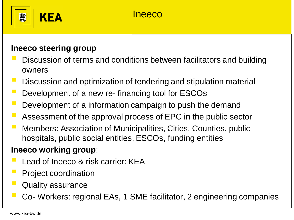



#### **Ineeco steering group**

- Discussion of terms and conditions between facilitators and building owners
- Discussion and optimization of tendering and stipulation material
- Development of a new re- financing tool for ESCOs
- Development of a information campaign to push the demand
- Assessment of the approval process of EPC in the public sector
- Members: Association of Municipalities, Cities, Counties, public hospitals, public social entities, ESCOs, funding entities

## **Ineeco working group**:

- Lead of Ineeco & risk carrier: KEA
- **Project coordination**
- **Quality assurance**
- Co- Workers: regional EAs, 1 SME facilitator, 2 engineering companies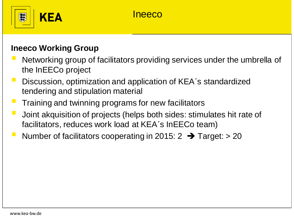

## Ineeco

#### **Ineeco Working Group**

- Networking group of facilitators providing services under the umbrella of the InEECo project
- Discussion, optimization and application of KEA's standardized tendering and stipulation material
- Training and twinning programs for new facilitators
- Joint akquisition of projects (helps both sides: stimulates hit rate of facilitators, reduces work load at KEA´s InEECo team)
- Number of facilitators cooperating in 2015:  $2 \rightarrow$  Target: > 20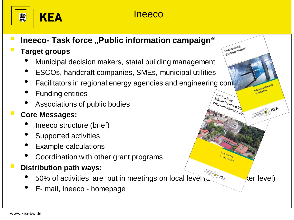

## Ineeco

## **Ineeco- Task force "Public information campaign"**

### **Target groups**

- Municipal decision makers, statal building management
- ESCOs, handcraft companies, SMEs, municipal utilities
- Facilitators in regional energy agencies and engineering companient
- Funding entities
- Associations of public bodies

• E- mail, Ineeco - homepage

### ▪ **Core Messages:**

- Ineeco structure (brief)
- Supported activities
- Example calculations
- Coordination with other grant programs

## **Distribution path ways:**

50% of activities are put in meetings on local level  $\kappa$  field  $\kappa$  (er level)

KEA

Contracting Contracting<br>für Kommunen

Contracting. Effizienter und wird Weg zum Klimaschutz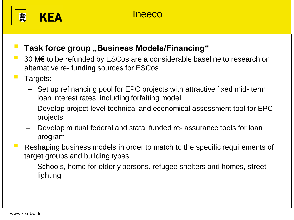

### **Task force group ,, Business Models/Financing"**

- 30 M€ to be refunded by ESCos are a considerable baseline to research on alternative re- funding sources for ESCos.
- Targets:
	- Set up refinancing pool for EPC projects with attractive fixed mid- term loan interest rates, including forfaiting model
	- Develop project level technical and economical assessment tool for EPC projects
	- Develop mutual federal and statal funded re- assurance tools for loan program
- Reshaping business models in order to match to the specific requirements of target groups and building types
	- Schools, home for elderly persons, refugee shelters and homes, streetlighting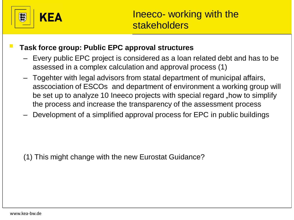

#### **Task force group: Public EPC approval structures**

- Every public EPC project is considered as a loan related debt and has to be assessed in a complex calculation and approval process (1)
- Togehter with legal advisors from statal department of municipal affairs, asscociation of ESCOs and department of environment a working group will be set up to analyze 10 Ineeco projects with special regard "how to simplify the process and increase the transparency of the assessment process
- Development of a simplified approval process for EPC in public buildings

(1) This might change with the new Eurostat Guidance?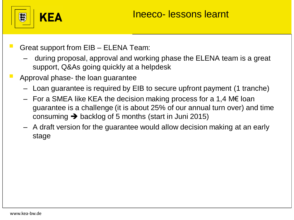

Great support from EIB – ELENA Team:

- during proposal, approval and working phase the ELENA team is a great support, Q&As going quickly at a helpdesk
- Approval phase- the loan guarantee
	- Loan guarantee is required by EIB to secure upfront payment (1 tranche)
	- For a SMEA like KEA the decision making process for a 1,4 M€ loan guarantee is a challenge (it is about 25% of our annual turn over) and time consuming  $\rightarrow$  backlog of 5 months (start in Juni 2015)
	- A draft version for the guarantee would allow decision making at an early stage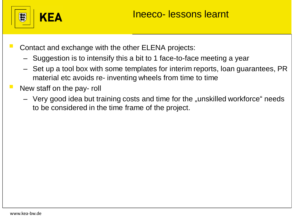

- Contact and exchange with the other ELENA projects:
	- Suggestion is to intensify this a bit to 1 face-to-face meeting a year
	- Set up a tool box with some templates for interim reports, loan guarantees, PR material etc avoids re- inventing wheels from time to time
- New staff on the pay- roll
	- $-$  Very good idea but training costs and time for the "unskilled workforce" needs to be considered in the time frame of the project.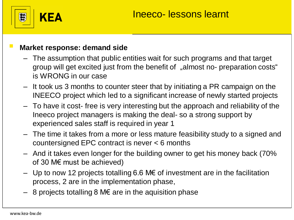

#### **Market response: demand side**

- The assumption that public entities wait for such programs and that target group will get excited just from the benefit of "almost no- preparation costs" is WRONG in our case
- It took us 3 months to counter steer that by initiating a PR campaign on the INEECO project which led to a significant increase of newly started projects
- To have it cost- free is very interesting but the approach and reliability of the Ineeco project managers is making the deal- so a strong support by experienced sales staff is required in year 1
- The time it takes from a more or less mature feasibility study to a signed and countersigned EPC contract is never < 6 months
- And it takes even longer for the building owner to get his money back (70% of 30 M€ must be achieved)
- $−$  Up to now 12 projects totalling 6.6 M€ of investment are in the facilitation process, 2 are in the implementation phase,
- $-$  8 projects totalling 8 M€ are in the aquisition phase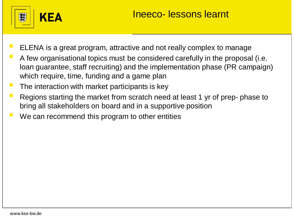

- ELENA is a great program, attractive and not really complex to manage
- A few organisational topics must be considered carefully in the proposal (i.e. loan guarantee, staff recruiting) and the implementation phase (PR campaign) which require, time, funding and a game plan
- The interaction with market participants is key
- Regions starting the market from scratch need at least 1 yr of prep- phase to bring all stakeholders on board and in a supportive position
- We can recommend this program to other entities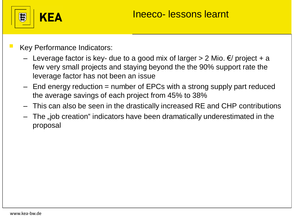

- **Key Performance Indicators:** 
	- Leverage factor is key- due to a good mix of larger > 2 Mio. €/ project + a few very small projects and staying beyond the the 90% support rate the leverage factor has not been an issue
	- $-$  End energy reduction  $=$  number of EPCs with a strong supply part reduced the average savings of each project from 45% to 38%
	- This can also be seen in the drastically increased RE and CHP contributions
	- The "job creation" indicators have been dramatically underestimated in the proposal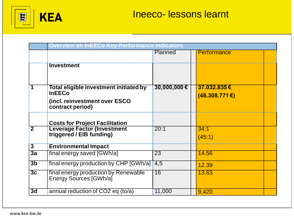

|                         | <b>Overview on InEECo Key-Performance Indicators</b>                                                         |                 |  |                                  |  |  |  |
|-------------------------|--------------------------------------------------------------------------------------------------------------|-----------------|--|----------------------------------|--|--|--|
|                         |                                                                                                              | Planned         |  | Performance                      |  |  |  |
|                         | <b>Investment</b>                                                                                            |                 |  |                                  |  |  |  |
|                         | Total eligible investment initiated by<br><b>InEECo</b><br>(incl. reinvestment over ESCO<br>contract period) | 30,000,000€     |  | 37.032.835€<br>$(48.308.771)$ €) |  |  |  |
|                         | <b>Costs for Project Facilitation</b>                                                                        |                 |  |                                  |  |  |  |
| $\overline{\mathbf{2}}$ | <b>Leverage Factor (Investment</b><br>triggered / EIB funding)                                               | 20:1            |  | 34:1<br>(45:1)                   |  |  |  |
| $\overline{\mathbf{3}}$ | <b>Environmental Impact</b>                                                                                  |                 |  |                                  |  |  |  |
| 3a                      | final energy saved [GWh/a]                                                                                   | 23              |  | 14.56                            |  |  |  |
| 3 <sub>b</sub>          | final energy production by CHP [GWh/a]                                                                       | 4,5             |  | 12.39                            |  |  |  |
| 3c                      | final energy production by Renewable<br>Energy Sources [GWh/a]                                               | $\overline{16}$ |  | 13.63                            |  |  |  |
| 3d                      | annual reduction of CO2 eq (to/a)                                                                            | 11,000          |  | 9,420                            |  |  |  |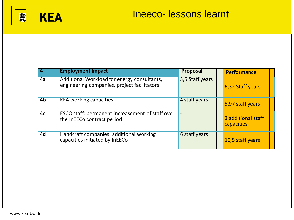

|                | <b>Employment Impact</b>                                                                   | <b>Proposal</b>          | <b>Performance</b>               |
|----------------|--------------------------------------------------------------------------------------------|--------------------------|----------------------------------|
| 4a             | Additional Workload for energy consultants,<br>engineering companies, project facilitators | 3,5 Staff years          | 6,32 Staff years                 |
| 4 <sub>b</sub> | <b>KEA working capacities</b>                                                              | 4 staff years            | 5,97 staff years                 |
| 4c             | <b>ESCO</b> staff: permanent increasement of staff over<br>the InEECo contract period      | $\overline{\phantom{a}}$ | 2 additional staff<br>capacities |
| 4d             | Handcraft companies: additional working<br>capacities initiated by InEECo                  | 6 staff years            | 10,5 staff years                 |